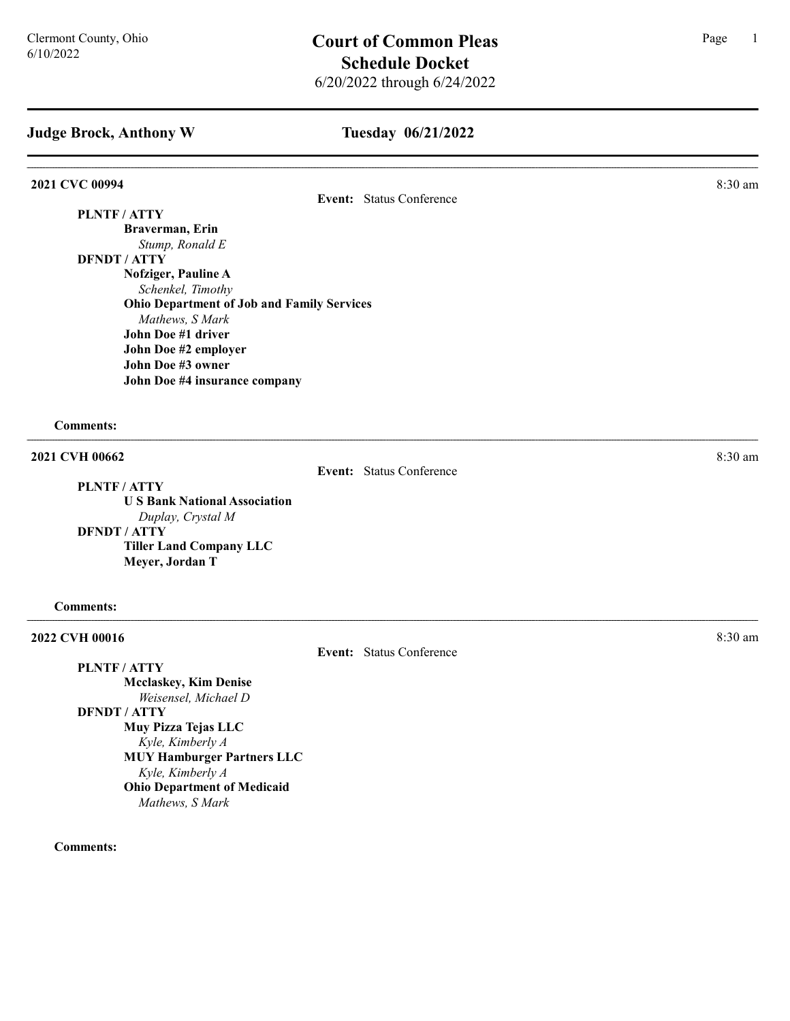#### Tuesday 06/21/2022

#### **2021 CVC 00994** 8:30 am **8:30 am**

Event: Status Conference

## PLNTF / ATTY

Braverman, Erin Stump, Ronald E

# DFNDT / ATTY

Nofziger, Pauline A Schenkel, Timothy Ohio Department of Job and Family Services Mathews, S Mark John Doe #1 driver John Doe #2 employer John Doe #3 owner John Doe #4 insurance company

Comments:

#### 2021 CVH 00662 8:30 am

PLNTF / ATTY

Event: Status Conference

U S Bank National Association Duplay, Crystal M DFNDT / ATTY Tiller Land Company LLC Meyer, Jordan T

#### Comments:

### **2022 CVH 00016** 8:30 am **8:30 am**

Event: Status Conference

PLNTF / ATTY Mcclaskey, Kim Denise Weisensel, Michael D DFNDT / ATTY Muy Pizza Tejas LLC Kyle, Kimberly A MUY Hamburger Partners LLC Kyle, Kimberly A Ohio Department of Medicaid Mathews, S Mark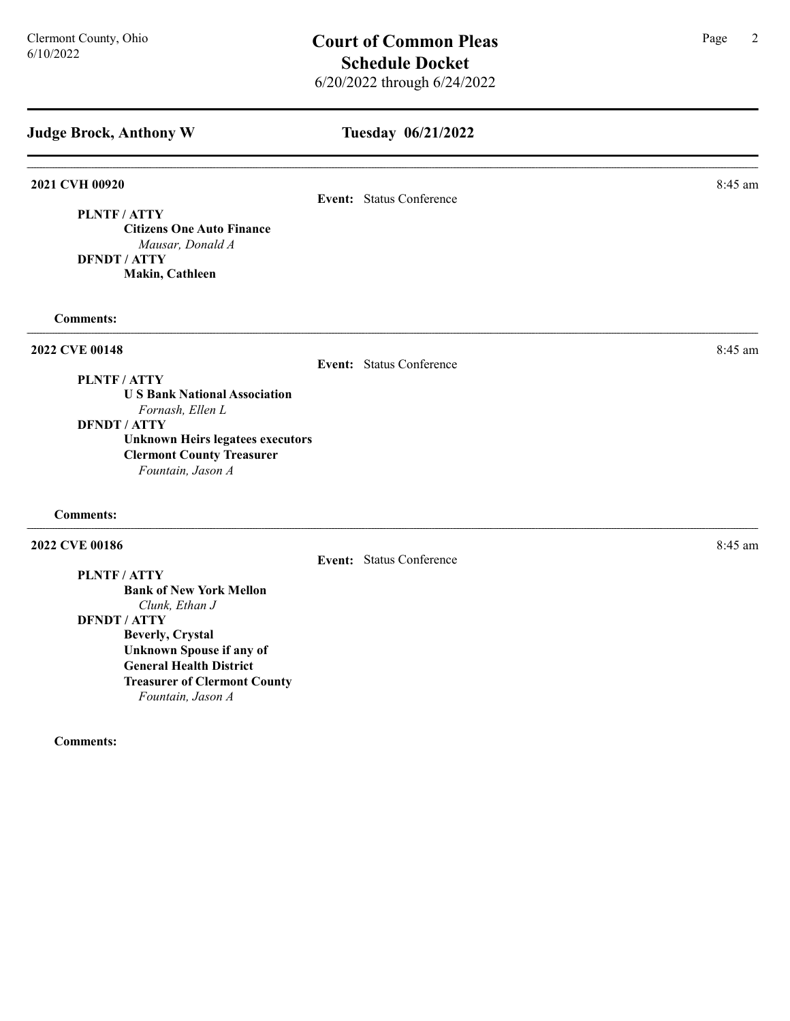| <b>Judge Brock, Anthony W</b>                                                                                                                                                                                        | Tuesday 06/21/2022       |           |
|----------------------------------------------------------------------------------------------------------------------------------------------------------------------------------------------------------------------|--------------------------|-----------|
| 2021 CVH 00920<br>PLNTF/ATTY<br><b>Citizens One Auto Finance</b><br>Mausar, Donald A<br><b>DFNDT / ATTY</b><br>Makin, Cathleen                                                                                       | Event: Status Conference | 8:45 am   |
| <b>Comments:</b>                                                                                                                                                                                                     |                          |           |
| 2022 CVE 00148<br>PLNTF / ATTY<br><b>US Bank National Association</b><br>Fornash, Ellen L<br><b>DFNDT / ATTY</b><br><b>Unknown Heirs legatees executors</b><br><b>Clermont County Treasurer</b><br>Fountain, Jason A | Event: Status Conference | 8:45 am   |
| <b>Comments:</b>                                                                                                                                                                                                     |                          |           |
| 2022 CVE 00186<br>PLNTF/ATTY<br><b>Bank of New York Mellon</b><br>Clunk, Ethan J<br><b>DFNDT / ATTY</b><br><b>Beverly, Crystal</b>                                                                                   | Event: Status Conference | $8:45$ am |

Unknown Spouse if any of General Health District Treasurer of Clermont County Fountain, Jason A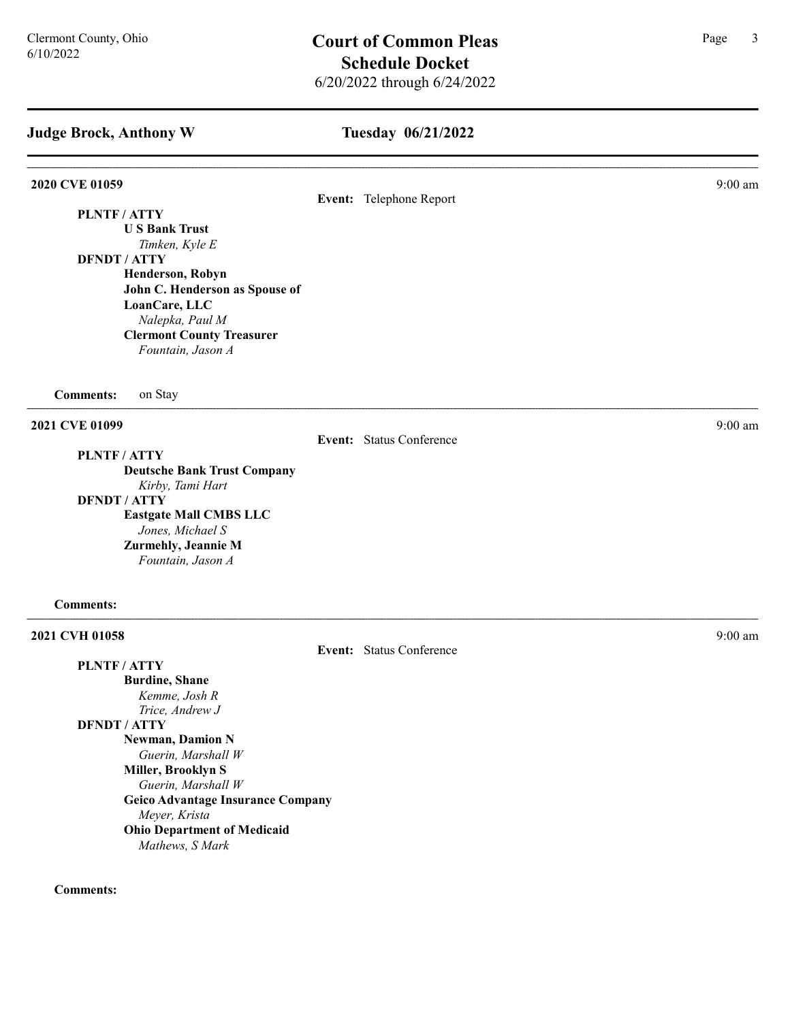#### Tuesday 06/21/2022

#### **2020 CVE 01059** 9:00 am **9:00 am**

#### Event: Telephone Report

PLNTF / ATTY

U S Bank Trust Timken, Kyle E

DFNDT / ATTY

Henderson, Robyn John C. Henderson as Spouse of LoanCare, LLC Nalepka, Paul M Clermont County Treasurer Fountain, Jason A

Comments: on Stay

**2021 CVE 01099** 9:00 am **9:00 am** 

PLNTF / ATTY

Deutsche Bank Trust Company

Kirby, Tami Hart

DFNDT / ATTY

Eastgate Mall CMBS LLC Jones, Michael S Zurmehly, Jeannie M Fountain, Jason A

#### Comments:

2021 CVH 01058 9:00 am 9:00 am 9:00 am 9:00 am 9:00 am 9:00 am 9:00 am 9:00 am 9:00 am 9:00 am 9:00 am 9:00 am 9:00 am 9:00 am 9:00 am 9:00 am 9:00 am 9:00 am 9:00 am 9:00 am 9:00 am 9:00 am 9:00 am 9:00 am 9:00 am 9:00 am

| PLNTF / ATTY          |                                          |
|-----------------------|------------------------------------------|
| <b>Burdine, Shane</b> |                                          |
|                       | Kemme, Josh R                            |
|                       | Trice, Andrew J                          |
| DFNDT / ATTY          |                                          |
|                       | <b>Newman, Damion N</b>                  |
|                       | Guerin, Marshall W                       |
|                       | Miller, Brooklyn S                       |
|                       | Guerin, Marshall W                       |
|                       | <b>Geico Advantage Insurance Company</b> |
|                       | Meyer, Krista                            |
|                       | <b>Ohio Department of Medicaid</b>       |
|                       | Mathews, S Mark                          |

#### Comments:

Event: Status Conference

Event: Status Conference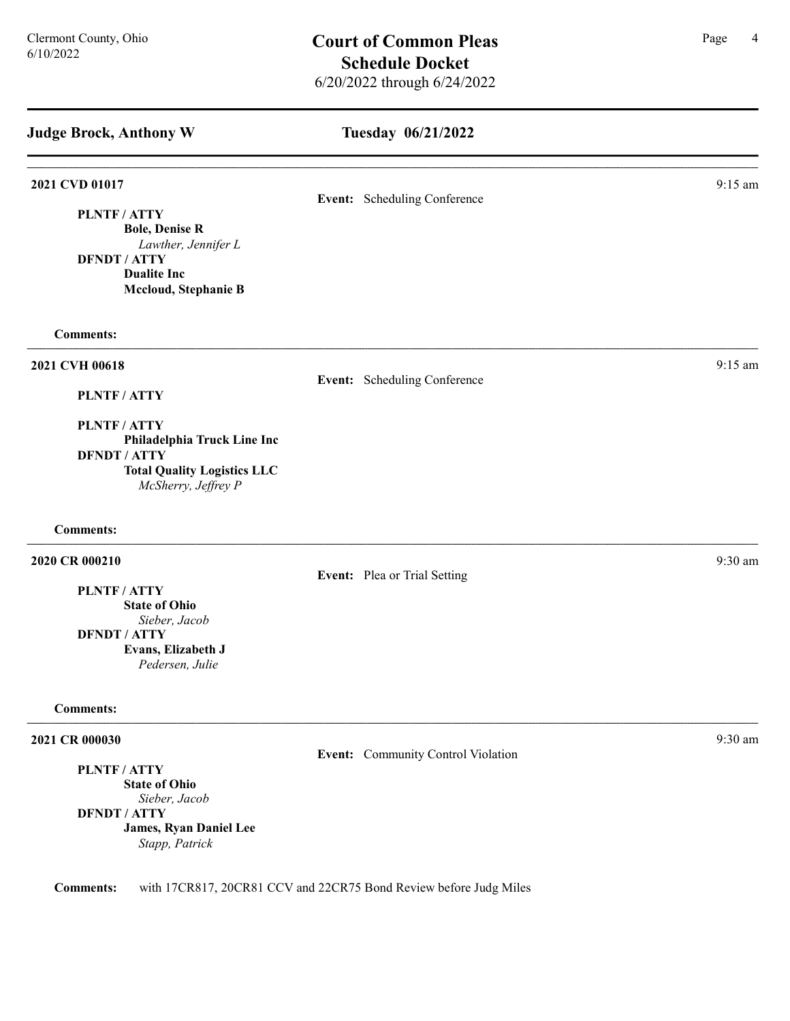| Tuesday 06/21/2022                 |           |
|------------------------------------|-----------|
| Event: Scheduling Conference       | $9:15$ am |
|                                    |           |
| Event: Scheduling Conference       | $9:15$ am |
|                                    |           |
| Event: Plea or Trial Setting       | 9:30 am   |
|                                    |           |
| Event: Community Control Violation | 9:30 am   |
|                                    |           |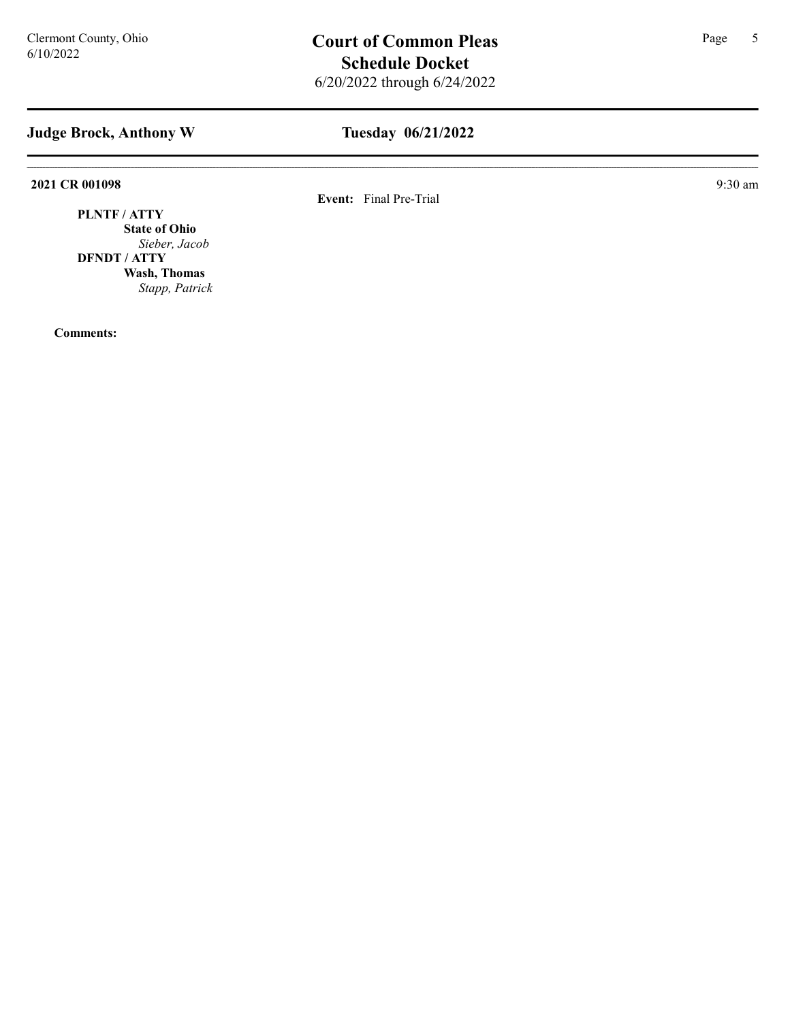# Tuesday 06/21/2022

2021 CR 001098 9:30 am 9:30 am

Event: Final Pre-Trial

PLNTF / ATTY State of Ohio Sieber, Jacob DFNDT / ATTY Wash, Thomas Stapp, Patrick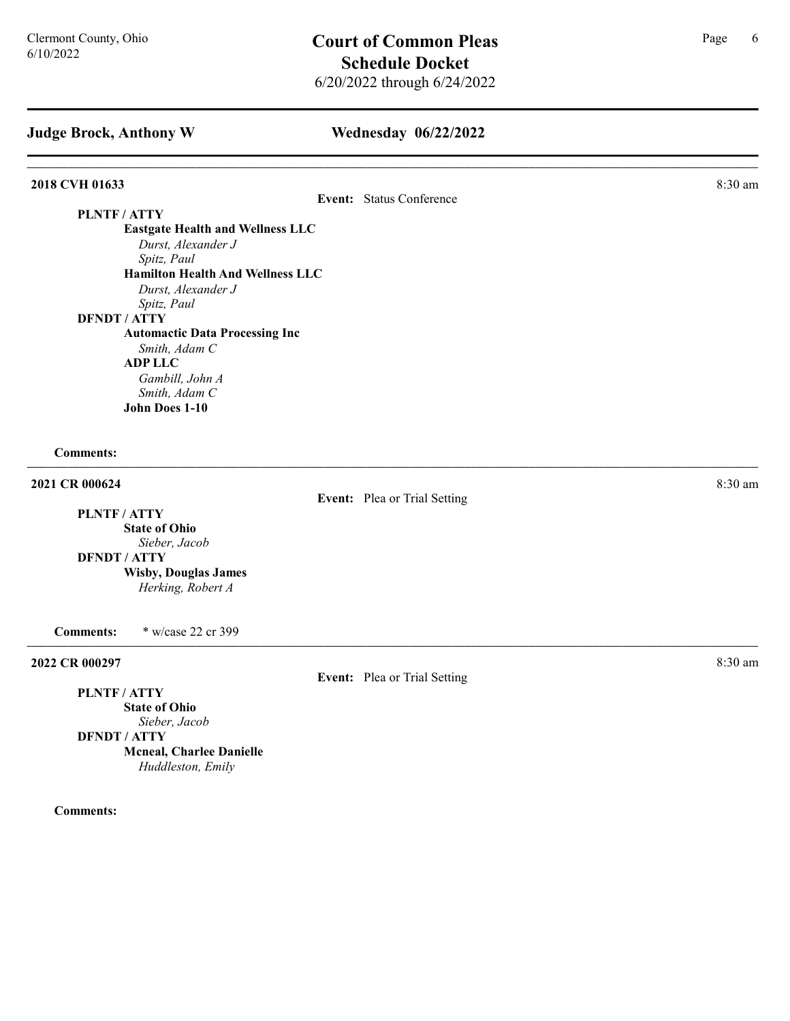#### Wednesday 06/22/2022

# **2018 CVH 01633** 8:30 am **8.30 am** Event: Status Conference PLNTF / ATTY Eastgate Health and Wellness LLC Durst, Alexander J Spitz, Paul Hamilton Health And Wellness LLC Durst, Alexander J Spitz, Paul DFNDT / ATTY Automactic Data Processing Inc Smith, Adam C ADP LLC Gambill, John A Smith, Adam C John Does 1-10 Comments: **2021 CR 000624** 8:30 am Event: Plea or Trial Setting PLNTF / ATTY State of Ohio Sieber, Jacob DFNDT / ATTY Wisby, Douglas James Herking, Robert A Comments: \* w/case 22 cr 399 2022 CR 000297 8:30 am Event: Plea or Trial Setting

PLNTF / ATTY State of Ohio Sieber, Jacob DFNDT / ATTY Mcneal, Charlee Danielle Huddleston, Emily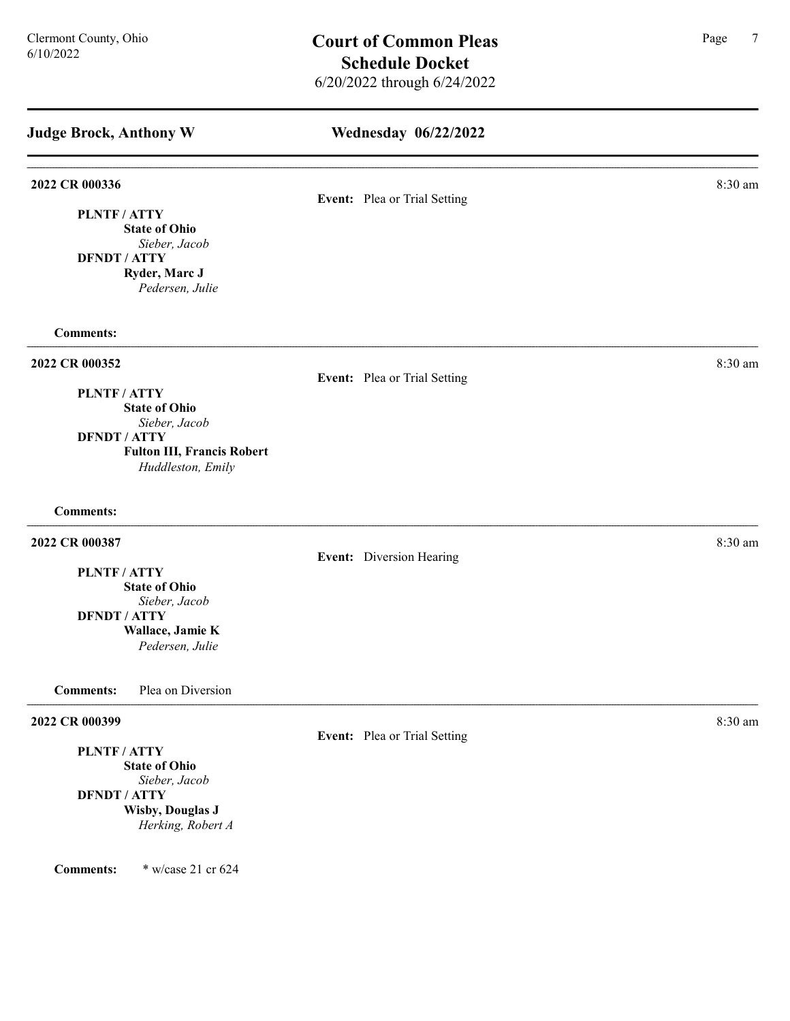| <b>Judge Brock, Anthony W</b>                                                                                                                            | <b>Wednesday 06/22/2022</b>  |         |
|----------------------------------------------------------------------------------------------------------------------------------------------------------|------------------------------|---------|
| 2022 CR 000336<br>PLNTF / ATTY<br><b>State of Ohio</b><br>Sieber, Jacob<br><b>DFNDT / ATTY</b><br>Ryder, Marc J<br>Pedersen, Julie                       | Event: Plea or Trial Setting | 8:30 am |
| <b>Comments:</b>                                                                                                                                         |                              |         |
| 2022 CR 000352<br>PLNTF / ATTY<br><b>State of Ohio</b><br>Sieber, Jacob<br><b>DFNDT / ATTY</b><br><b>Fulton III, Francis Robert</b><br>Huddleston, Emily | Event: Plea or Trial Setting | 8:30 am |
| <b>Comments:</b>                                                                                                                                         |                              |         |
| 2022 CR 000387<br>PLNTF / ATTY<br><b>State of Ohio</b><br>Sieber, Jacob<br><b>DFNDT / ATTY</b><br>Wallace, Jamie K<br>Pedersen, Julie                    | Event: Diversion Hearing     | 8:30 am |
| Plea on Diversion<br><b>Comments:</b>                                                                                                                    |                              |         |
| 2022 CR 000399<br>PLNTF / ATTY<br><b>State of Ohio</b><br>Sieber, Jacob<br><b>DFNDT / ATTY</b><br><b>Wisby, Douglas J</b><br>Herking, Robert A           | Event: Plea or Trial Setting | 8:30 am |
| * w/case 21 cr 624<br><b>Comments:</b>                                                                                                                   |                              |         |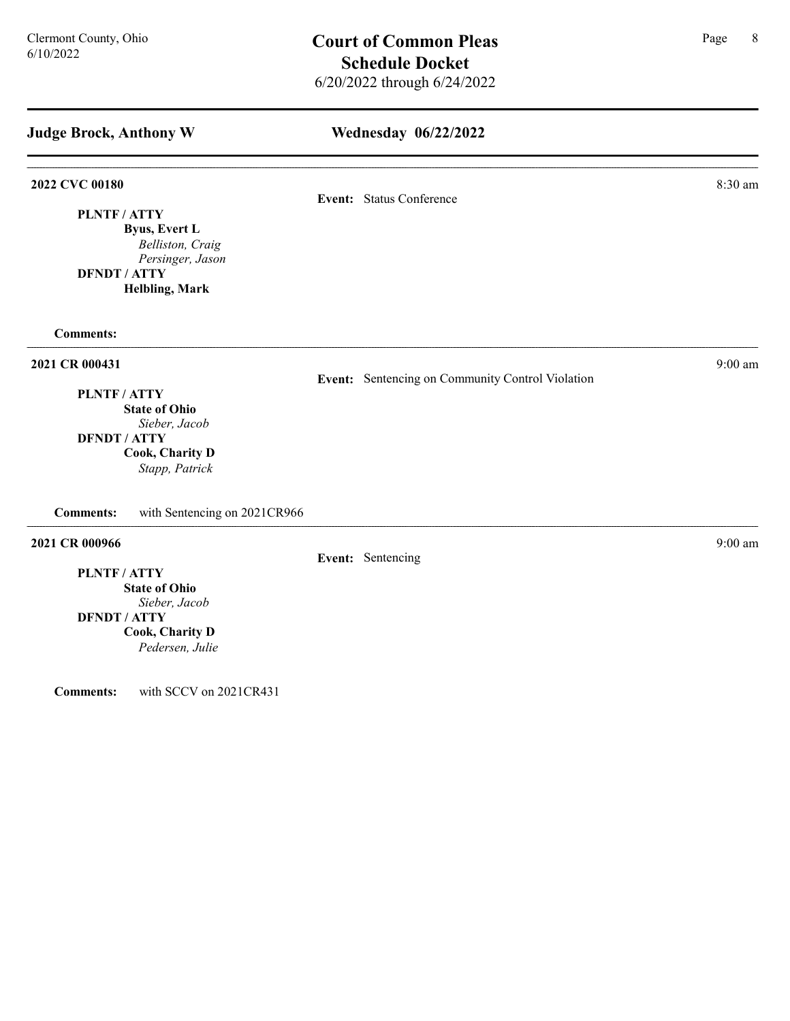# Wednesday 06/22/2022

Event: Sentencing on Community Control Violation

#### 2022 CVC 00180 8:30 am 6 8:30 am 6 8:30 am 6 8:30 am 6 8:30 am 6 8:30 am 6 8:30 am 6 8:30 am 6 8:30 am 6 8:30 am 6 8:30 am 6 8:30 am 6 8:30 am 6 8:30 am 6 8:30 am 6 8:30 am 6 8:30 am 6 8:30 am 6 8:30 am 6 8:30 am 6 8:30 am

Event: Status Conference

PLNTF / ATTY Byus, Evert L

Belliston, Craig Persinger, Jason DFNDT / ATTY Helbling, Mark

Comments:

#### **2021 CR 000431** 9:00 am 9:00 am 9:00 am 9:00 am 9:00 am 9:00 am 9:00 am 9:00 am 9:00 am 9:00 am 9:00 am 9:00 am 9:00 am 9:00 am 9:00 am 9:00 am 9:00 am 9:00 am 9:00 am 9:00 am 9:00 am 9:00 am 9:00 am 9:00 am 9:00 am 9:00

PLNTF / ATTY

State of Ohio Sieber, Jacob DFNDT / ATTY Cook, Charity D

Stapp, Patrick

Comments: with Sentencing on 2021CR966

### 2021 CR 000966 9:00 am 9:00 am 9:00 am 9:00 am 9:00 am 9:00 am 9:00 am 9:00 am 9:00 am 9:00 am 9:00 am 9:00 am

Event: Sentencing

PLNTF / ATTY State of Ohio

Sieber, Jacob DFNDT / ATTY

> Cook, Charity D Pedersen, Julie

Comments: with SCCV on 2021CR431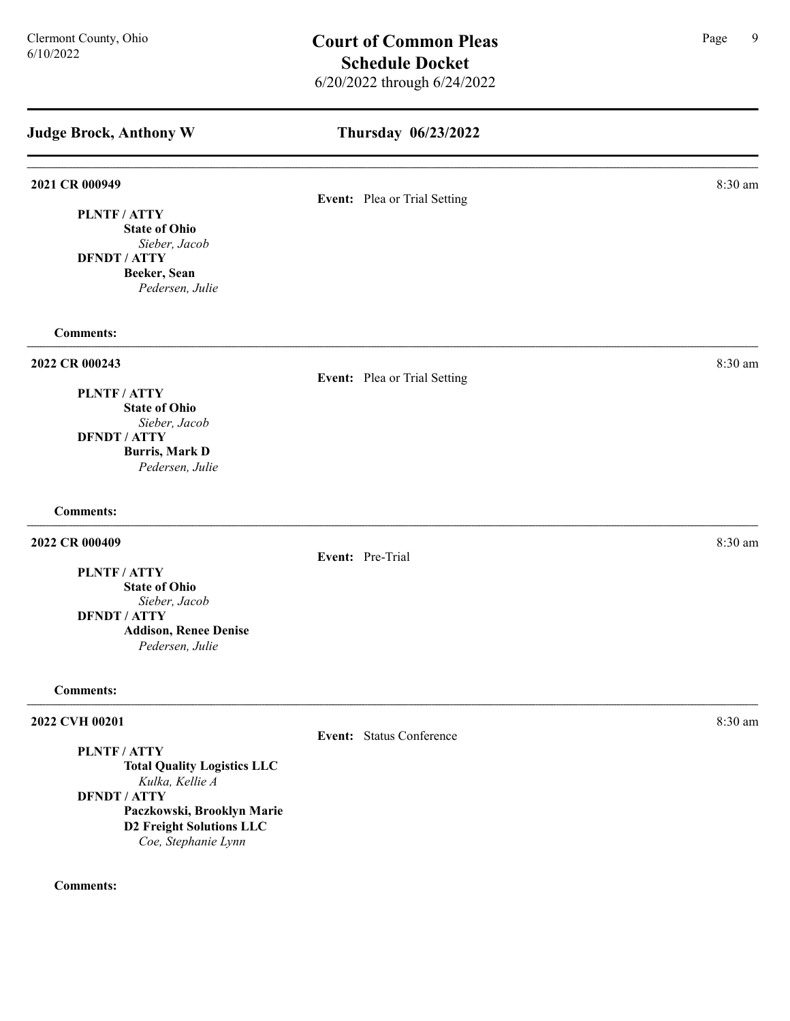| <b>Judge Brock, Anthony W</b>                          | Thursday 06/23/2022 |                              |         |
|--------------------------------------------------------|---------------------|------------------------------|---------|
| 2021 CR 000949                                         |                     | Event: Plea or Trial Setting | 8:30 am |
| <b>PLNTF/ATTY</b>                                      |                     |                              |         |
| <b>State of Ohio</b>                                   |                     |                              |         |
| Sieber, Jacob<br><b>DFNDT / ATTY</b>                   |                     |                              |         |
| Beeker, Sean                                           |                     |                              |         |
| Pedersen, Julie                                        |                     |                              |         |
| <b>Comments:</b>                                       |                     |                              |         |
| 2022 CR 000243                                         |                     |                              | 8:30 am |
| PLNTF / ATTY                                           |                     | Event: Plea or Trial Setting |         |
| <b>State of Ohio</b>                                   |                     |                              |         |
| Sieber, Jacob                                          |                     |                              |         |
| <b>DFNDT / ATTY</b><br><b>Burris, Mark D</b>           |                     |                              |         |
| Pedersen, Julie                                        |                     |                              |         |
| <b>Comments:</b>                                       |                     |                              |         |
| 2022 CR 000409                                         |                     |                              | 8:30 am |
| PLNTF / ATTY                                           |                     | Event: Pre-Trial             |         |
| <b>State of Ohio</b>                                   |                     |                              |         |
| Sieber, Jacob                                          |                     |                              |         |
| <b>DFNDT / ATTY</b>                                    |                     |                              |         |
| <b>Addison, Renee Denise</b><br>Pedersen, Julie        |                     |                              |         |
| <b>Comments:</b>                                       |                     |                              |         |
| 2022 CVH 00201                                         |                     |                              | 8:30 am |
| PLNTF / ATTY                                           |                     | Event: Status Conference     |         |
| <b>Total Quality Logistics LLC</b>                     |                     |                              |         |
| Kulka, Kellie A                                        |                     |                              |         |
| <b>DFNDT / ATTY</b>                                    |                     |                              |         |
| Paczkowski, Brooklyn Marie                             |                     |                              |         |
|                                                        |                     |                              |         |
| <b>D2 Freight Solutions LLC</b><br>Coe, Stephanie Lynn |                     |                              |         |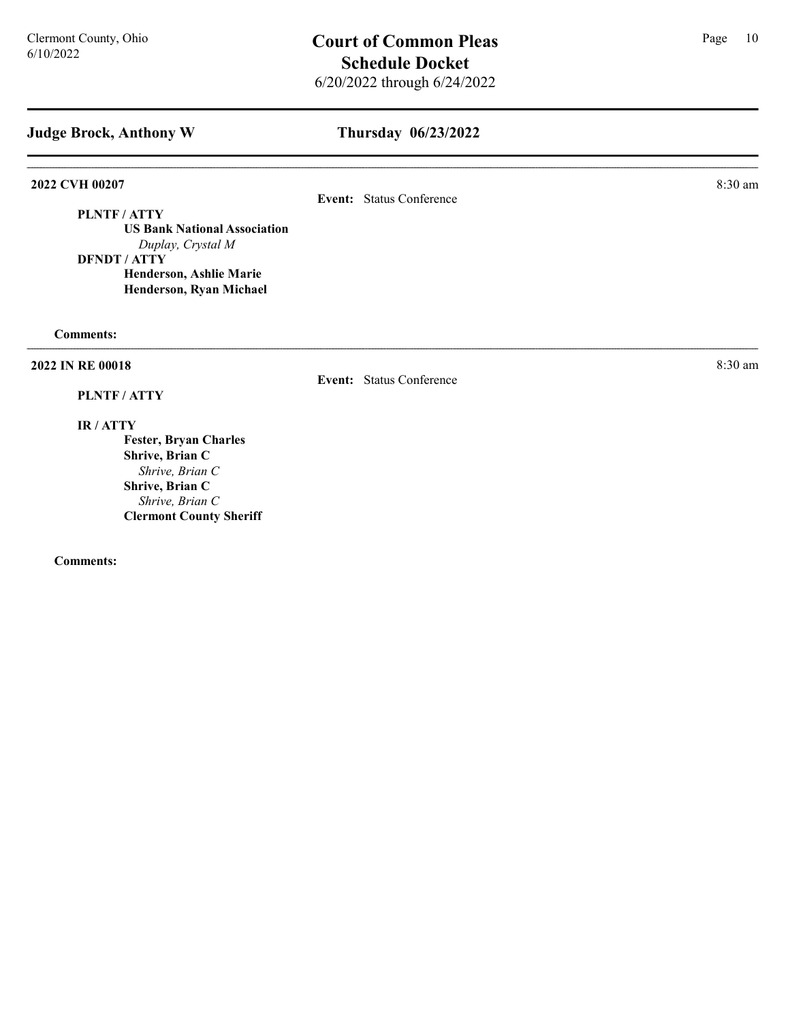# Thursday 06/23/2022

# 2022 CVH 00207 8:30 am

# Event: Status Conference

PLNTF / ATTY US Bank National Association Duplay, Crystal M DFNDT / ATTY Henderson, Ashlie Marie Henderson, Ryan Michael

Comments:

#### 2022 IN RE 00018 8:30 am and 2022 IN RE 00018

#### PLNTF / ATTY

# Event: Status Conference

IR / ATTY

Fester, Bryan Charles Shrive, Brian C Shrive, Brian C Shrive, Brian C Shrive, Brian C Clermont County Sheriff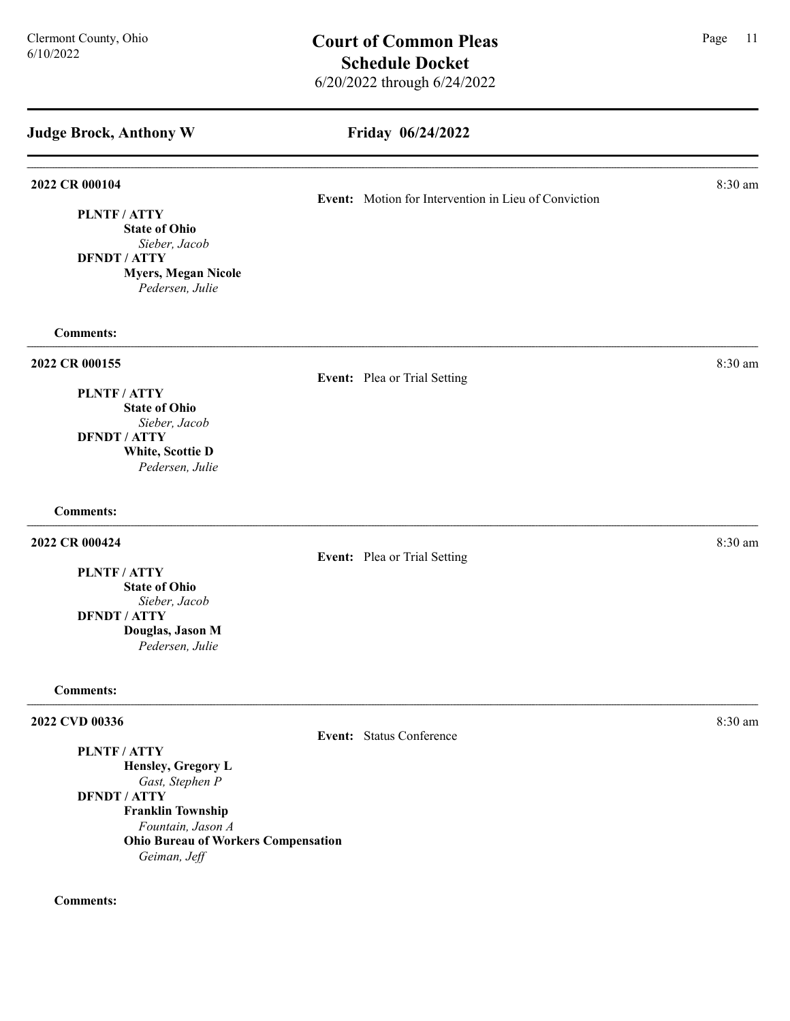Friday 06/24/2022 Judge Brock, Anthony W **2022 CR 000104** 8:30 am **8.30 am** Event: Motion for Intervention in Lieu of Conviction PLNTF / ATTY State of Ohio Sieber, Jacob DFNDT / ATTY Myers, Megan Nicole Pedersen, Julie Comments: 2022 CR 000155 8:30 am and 2022 CR 000155 Event: Plea or Trial Setting PLNTF / ATTY State of Ohio Sieber, Jacob DFNDT / ATTY White, Scottie D Pedersen, Julie Comments: **2022 CR 000424** 8:30 am **8:30 am** Event: Plea or Trial Setting PLNTF / ATTY State of Ohio Sieber, Jacob DFNDT / ATTY Douglas, Jason M

#### Comments:

# 2022 CVD 00336 8:30 am and 2022 CVD 00336

PLNTF / ATTY

Event: Status Conference

Hensley, Gregory L Gast, Stephen P DFNDT / ATTY

Franklin Township Fountain, Jason A Ohio Bureau of Workers Compensation Geiman, Jeff

# Comments:

Pedersen, Julie